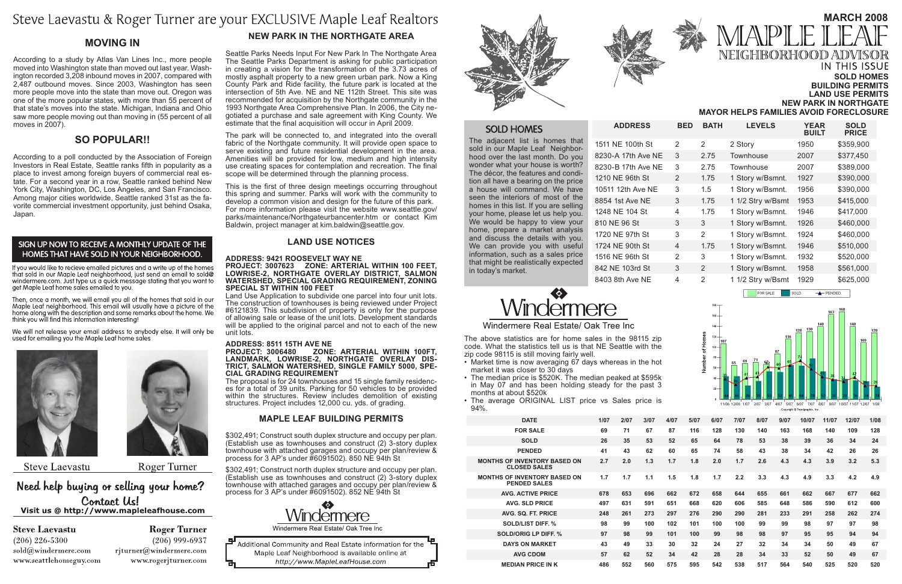#### **Sold Homes Building Permits Land Use Permits New Park in Northgate**

## **March 2008** NEIGHBORHOOD ADV **IN THIS ISSUE**

**Mayor Helps Families Avoid foreclosure**

#### **New Park In The Northgate Area**

Seattle Parks Needs Input For New Park In The Northgate Area The Seattle Parks Department is asking for public participation in creating a vision for the transformation of the 3.73 acres of mostly asphalt property to a new green urban park. Now a King County Park and Ride facility, the future park is located at the intersection of 5th Ave. NE and NE 112th Street. This site was recommended for acquisition by the Northgate community in the 1993 Northgate Area Comprehensive Plan. In 2006, the City negotiated a purchase and sale agreement with King County. We estimate that the final acquisition will occur in April 2009.

The park will be connected to, and integrated into the overall fabric of the Northgate community. It will provide open space to serve existing and future residential development in the area. Amenities will be provided for low, medium and high intensity use creating spaces for contemplation and recreation. The final scope will be determined through the planning process.

**Address: 8511 15TH AVE NE** LANDMARK, LOWRISE-2, NORTHGATE OVERLAY DIS-<br>TRICT, SALMON WATERSHED, SINGLE FAMILY 5000, SPE-<br>CIAL GRADING REQUIREMENT<br>The proposal is for 24 townhouses and 15 single family residenc-

es for a total of 39 units. Parking for 50 vehicles to be provided within the structures. Review includes demolition of existing structures. Project includes 12,000 cu. yds. of grading.

\$302,491; Construct south duplex structure and occupy per plan. (Establish use as townhouses and construct (2) 3-story duplex townhouse with attached garages and occupy per plan/review & process for 3 AP's under #6091502). 850 NE 94th St

This is the first of three design meetings occurring throughout this spring and summer. Parks will work with the community to develop a common vision and design for the future of this park. For more information please visit the website www.seattle.gov/ parks/maintenance/Northgateurbancenter.htm or contact Kim Baldwin, project manager at kim.baldwin@seattle.gov.

#### **LAND USE NOTICES**

#### **Address: 9421 ROOSEVELT WAY NE Project: 3007623 Zone: ARTERIAL WITHIN 100 FEET, LOWRISE-2, NORTHGATE OVERLAY DISTRICT, SALMON WATERSHED, SPECIAL GRADING REQUIREMENT, ZONING SPECIAL ST WITHIN 100 FEET**

Land Use Application to subdivide one parcel into four unit lots. The construction of townhouses is being reviewed under Project #6121839. This subdivision of property is only for the purpose of allowing sale or lease of the unit lots. Development standards will be applied to the original parcel and not to each of the new unit lots.

#### **Maple Leaf Building Permits**

\$302,491; Construct north duplex structure and occupy per plan. (Establish use as townhouses and construct (2) 3-story duplex townhouse with attached garages and occupy per plan/review & process for 3 AP's under #6091502). 852 NE 94th St



Windermere Real Estate/ Oak Tree Inc

모 Additional Community and Real Estate information for the Maple Leaf Neighborhood is available online at http://www.MapleLeafHouse.com





 $ADDRESS$ 

#### **SOLD HOMES**

The adjacent list is homes that sold in our Maple Leaf Neighborhood over the last month. Do you wonder what your house is worth? The décor, the features and condition all have a bearing on the price a house will command. We have seen the interiors of most of the homes in this list. If you are selling your home, please let us help you. We would be happy to view your home, prepare a market analysis and discuss the details with you. We can provide you with useful information, such as a sales price that might be realistically expected in today's market.

1511 NE 100th St 8230-A 17th Ave NE 8230-B 17th Ave NE 1210 NE 96th St 10511 12th Ave NE 8854 1st Ave NE 1248 NE 104 St 810 NE 96 St 1720 NE 97th St 1724 NE 90th St 1516 NE 96th St 842 NE 103rd St 8403 8th Ave NE

# mere

Windermere Real Estate/ Oak Tree Inc

| <b>BED</b>               | <b>BATH</b>   | <b>LEVELS</b>     | <b>YEAR</b><br><b>BUILT</b> | <b>SOLD</b><br><b>PRICE</b> |
|--------------------------|---------------|-------------------|-----------------------------|-----------------------------|
| $\overline{2}$           | $\mathcal{P}$ | 2 Story           | 1950                        | \$359,900                   |
| 3                        | 2.75          | Townhouse         | 2007                        | \$377,450                   |
| 3                        | 2.75          | Townhouse         | 2007                        | \$389,000                   |
| 2                        | 1.75          | 1 Story w/Bsmnt.  | 1927                        | \$390,000                   |
| 3                        | 1.5           | 1 Story w/Bsmnt.  | 1956                        | \$390,000                   |
| 3                        | 1.75          | 1 1/2 Stry w/Bsmt | 1953                        | \$415,000                   |
| 4                        | 1.75          | 1 Story w/Bsmnt.  | 1946                        | \$417,000                   |
| 3                        | 3             | 1 Story w/Bsmnt.  | 1926                        | \$460,000                   |
| 3                        | 2             | 1 Story w/Bsmnt.  | 1924                        | \$460,000                   |
| $\overline{\mathcal{A}}$ | 1.75          | 1 Story w/Bsmnt.  | 1946                        | \$510,000                   |
| 2                        | 3             | 1 Story w/Bsmnt.  | 1932                        | \$520,000                   |
| 3                        | $\mathcal{P}$ | 1 Story w/Bsmnt.  | 1958                        | \$561,000                   |
| 4                        | 2             | 1 1/2 Stry w/Bsmt | 1929                        | \$625,000                   |

FOR SALE



SOLD

 $+$  PENDED

|                                |  |  |  |  |  |  | 3/07 4/07 5/07 6/07 7/07 8/07 9/07 10/07 |  |  |  |
|--------------------------------|--|--|--|--|--|--|------------------------------------------|--|--|--|
| Copyright @ Trendgraphix, Inc. |  |  |  |  |  |  |                                          |  |  |  |

| <b>DATE</b>                                                | 1/07 | 2/07 | 3/07 | 4/07 | 5/07 | 6/07 | 7/07 | 8/07 | 9/07 | 10/07 | 11/07 | 12/07 | 1/08 |
|------------------------------------------------------------|------|------|------|------|------|------|------|------|------|-------|-------|-------|------|
| <b>FOR SALE</b>                                            | 69   | 71   | 67   | 87   | 116  | 128  | 130  | 140  | 163  | 168   | 140   | 109   | 128  |
| <b>SOLD</b>                                                | 26   | 35   | 53   | 52   | 65   | 64   | 78   | 53   | 38   | 39    | 36    | 34    | 24   |
| <b>PENDED</b>                                              | 41   | 43   | 62   | 60   | 65   | 74   | 58   | 43   | 38   | 34    | 42    | 26    | 26   |
| <b>MONTHS OF INVENTORY BASED ON</b><br><b>CLOSED SALES</b> | 2.7  | 2.0  | 1.3  | 1.7  | 1.8  | 2.0  | 1.7  | 2.6  | 4.3  | 4.3   | 3.9   | 3.2   | 5.3  |
| <b>MONTHS OF INVENTORY BASED ON</b><br><b>PENDED SALES</b> | 1.7  | 1.7  | 1.1  | 1.5  | 1.8  | 1.7  | 2.2  | 3.3  | 4.3  | 4.9   | 3.3   | 4.2   | 4.9  |
| <b>AVG. ACTIVE PRICE</b>                                   | 678  | 653  | 696  | 662  | 672  | 658  | 644  | 655  | 661  | 662   | 667   | 677   | 662  |
| <b>AVG. SLD PRICE</b>                                      | 497  | 631  | 591  | 651  | 668  | 620  | 606  | 585  | 648  | 586   | 590   | 612   | 600  |
| AVG. SQ. FT. PRICE                                         | 248  | 261  | 273  | 297  | 276  | 290  | 290  | 281  | 233  | 291   | 258   | 262   | 274  |
| <b>SOLD/LIST DIFF. %</b>                                   | 98   | 99   | 100  | 102  | 101  | 100  | 100  | 99   | 99   | 98    | 97    | 97    | 98   |
| <b>SOLD/ORIG LP DIFF. %</b>                                | 97   | 98   | 99   | 101  | 100  | 99   | 98   | 98   | 97   | 95    | 95    | 94    | 94   |
| <b>DAYS ON MARKET</b>                                      | 43   | 49   | 33   | 30   | 32   | 24   | 27   | 32   | 34   | 34    | 50    | 49    | 67   |
| <b>AVG CDOM</b>                                            | 57   | 62   | 52   | 34   | 42   | 28   | 28   | 34   | 33   | 52    | 50    | 49    | 67   |
| <b>MEDIAN PRICE IN K</b>                                   | 486  | 552  | 560  | 575  | 595  | 542  | 538  | 517  | 564  | 540   | 525   | 520   | 520  |





The above statistics are for home sales in the 98115 zip code. What the statistics tell us is that NE Seattle with the zip code 98115 is still moving fairly well.

- Market time is now averaging 67 days whereas in the hot market it was closer to 30 days
- The median price is \$520K. The median peaked at \$595k in May 07 and has been holding steady for the past 3 months at about \$520k
- The average ORIGINAL LIST price vs Sales price is 94%.

## Steve Laevastu & Roger Turner are your EXCLUSIVE Maple Leaf Realtors

#### **MOVING IN**

According to a study by Atlas Van Lines Inc., more people moved into Washington state than moved out last year. Washington recorded 3,208 inbound moves in 2007, compared with 2,487 outbound moves. Since 2003, Washington has seen more people move into the state than move out. Oregon was one of the more popular states, with more than 55 percent of that state's moves into the state. Michigan, Indiana and Ohio saw more people moving out than moving in (55 percent of all moves in 2007).

#### **So Popular!!**

According to a poll conducted by the Association of Foreign Investors in Real Estate, Seattle ranks fifth in popularity as a place to invest among foreign buyers of commercial real estate. For a second year in a row, Seattle ranked behind New York City, Washington, DC, Los Angeles, and San Francisco. Among major cities worldwide, Seattle ranked 31st as the favorite commercial investment opportunity, just behind Osaka, Japan.

#### SIGN UP NOW TO RECEIVE A MONTHLY UPDATE OF THE HOMES THAT HAVE SOLD IN YOUR NEIGHBORHOOD.

If you would like to recieve emailed pictures and a write up of the homes that sold in our Maple Leaf neighborhood, just send an email to sold@ windermere.com. Just type us a quick message stating that you want to get Maple Leaf home sales emailed to you.

Then, once a month, we will email you all of the homes that sold in our Maple Leaf neighborhood. This email will usually have a picture of the home along with the description and some remarks about the home. We think you will find this information interesting!

We will not release your email address to anybody else. It will only be used for emailing you the Maple Leaf home sales



**Steve Laevastu** 

Roger Turner

#### Need help buying or selling your home? Contact Us! Visit us @ http://www.mapleleafhouse.com

**Steve Laevastu**  $(206)$  226-5300 sold@windermere.com www.seattlehomeguy.com

**Roger Turner**  $(206)$  999-6937 rjturner@windermere.com www.rogerjturner.com